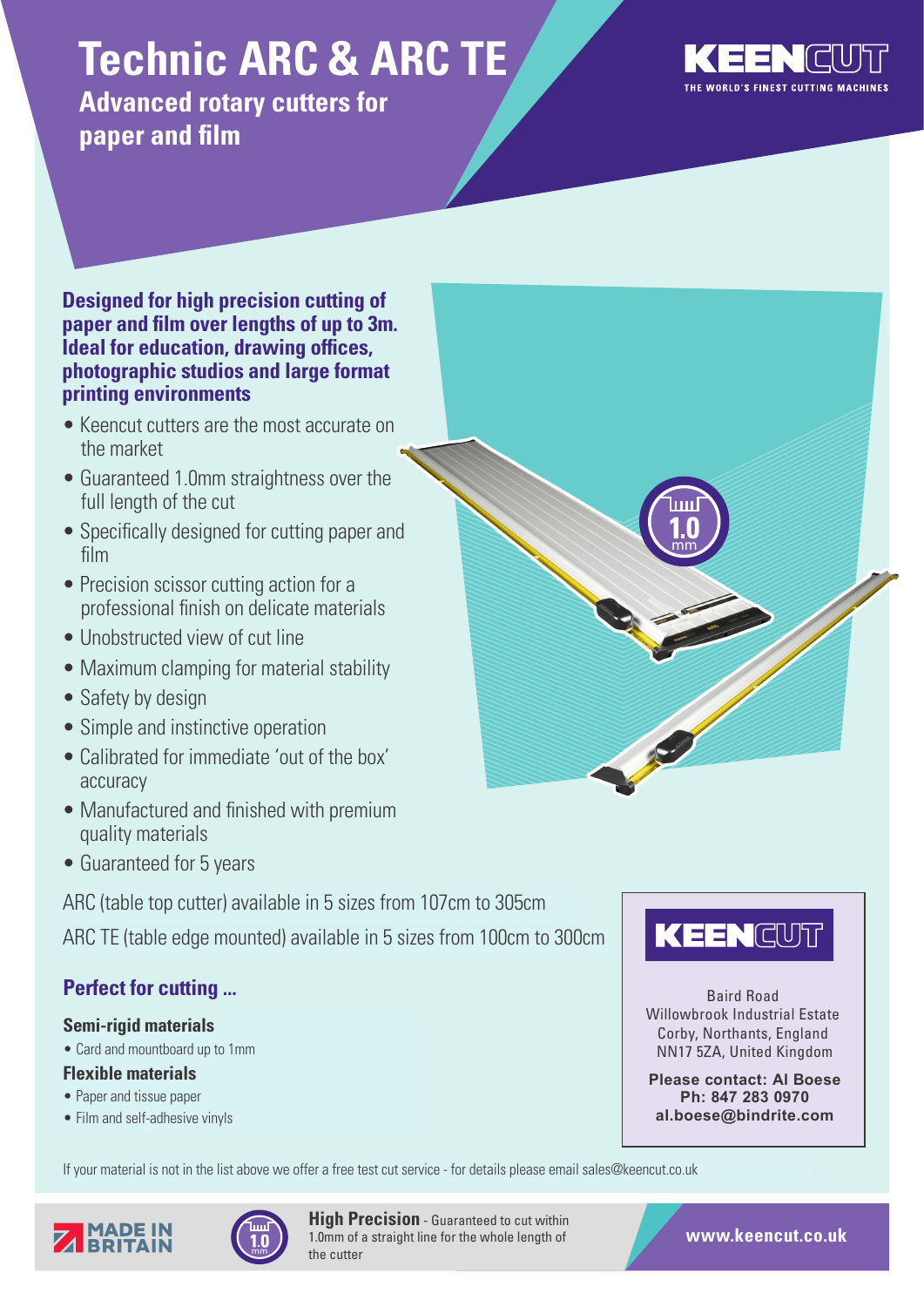# **Technic ARC & ARC TE**

**Advanced rotary cutters for paper and film**



### **Designed for high precision cutting of paper and film over lengths of up to 3m. Ideal for education, drawing offices, photographic studios and large format printing environments**

- Keencut cutters are the most accurate on the market
- Guaranteed 1.0mm straightness over the full length of the cut
- Specifically designed for cutting paper and film
- Precision scissor cutting action for a professional finish on delicate materials
- Unobstructed view of cut line
- Maximum clamping for material stability
- Safety by design
- Simple and instinctive operation
- Calibrated for immediate 'out of the box' accuracy
- Manufactured and finished with premium quality materials
- Guaranteed for 5 years

ARC (table top cutter) available in 5 sizes from 107cm to 305cm

ARC TE (table edge mounted) available in 5 sizes from 100cm to 300cm

# **Perfect for cutting ...**

# **Semi-rigid materials**

• Card and mountboard up to 1mm

# **Flexible materials**

- Paper and tissue paper
- Film and self-adhesive vinyls







Baird Road Willowbrook Industrial Estate Corby, Northants, England NN17 5ZA, United Kingdom

**Please contact: Al Boese Ph: 847 283 0970 al.boese@bindrite.com**





**High Precision** - Guaranteed to cut within 1.0mm of a straight line for the whole length of the cutter